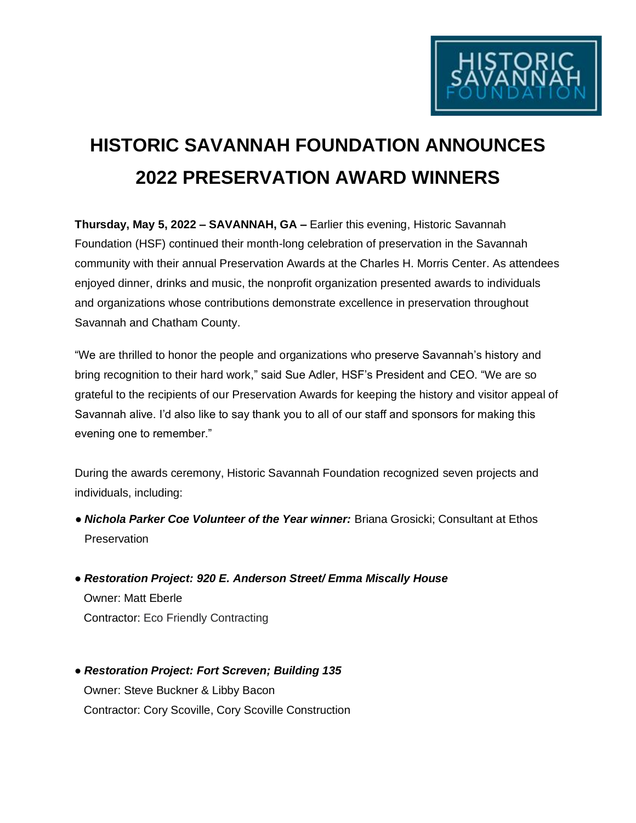

## **HISTORIC SAVANNAH FOUNDATION ANNOUNCES 2022 PRESERVATION AWARD WINNERS**

**Thursday, May 5, 2022 – SAVANNAH, GA –** Earlier this evening, Historic Savannah Foundation (HSF) continued their month-long celebration of preservation in the Savannah community with their annual Preservation Awards at the Charles H. Morris Center. As attendees enjoyed dinner, drinks and music, the nonprofit organization presented awards to individuals and organizations whose contributions demonstrate excellence in preservation throughout Savannah and Chatham County.

"We are thrilled to honor the people and organizations who preserve Savannah's history and bring recognition to their hard work," said Sue Adler, HSF's President and CEO. "We are so grateful to the recipients of our Preservation Awards for keeping the history and visitor appeal of Savannah alive. I'd also like to say thank you to all of our staff and sponsors for making this evening one to remember."

During the awards ceremony, Historic Savannah Foundation recognized seven projects and individuals, including:

- *Nichola Parker Coe Volunteer of the Year winner:* Briana Grosicki; Consultant at Ethos Preservation
- *Restoration Project: 920 E. Anderson Street/ Emma Miscally House* Owner: Matt Eberle Contractor: Eco Friendly Contracting
- *Restoration Project: Fort Screven; Building 135* Owner: Steve Buckner & Libby Bacon Contractor: Cory Scoville, Cory Scoville Construction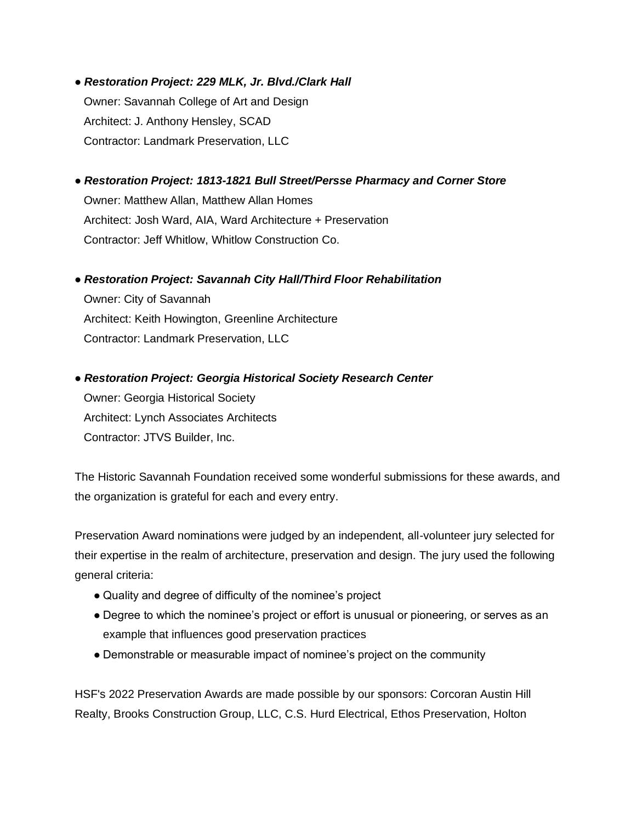- *Restoration Project: 229 MLK, Jr. Blvd./Clark Hall* Owner: Savannah College of Art and Design Architect: J. Anthony Hensley, SCAD Contractor: Landmark Preservation, LLC
- *Restoration Project: 1813-1821 Bull Street/Persse Pharmacy and Corner Store*  Owner: Matthew Allan, Matthew Allan Homes Architect: Josh Ward, AIA, Ward Architecture + Preservation Contractor: Jeff Whitlow, Whitlow Construction Co.
- *Restoration Project: Savannah City Hall/Third Floor Rehabilitation* Owner: City of Savannah Architect: Keith Howington, Greenline Architecture Contractor: Landmark Preservation, LLC
- *Restoration Project: Georgia Historical Society Research Center* Owner: Georgia Historical Society Architect: Lynch Associates Architects Contractor: JTVS Builder, Inc.

The Historic Savannah Foundation received some wonderful submissions for these awards, and the organization is grateful for each and every entry.

Preservation Award nominations were judged by an independent, all-volunteer jury selected for their expertise in the realm of architecture, preservation and design. The jury used the following general criteria:

- Quality and degree of difficulty of the nominee's project
- Degree to which the nominee's project or effort is unusual or pioneering, or serves as an example that influences good preservation practices
- Demonstrable or measurable impact of nominee's project on the community

HSF's 2022 Preservation Awards are made possible by our sponsors: Corcoran Austin Hill Realty, Brooks Construction Group, LLC, C.S. Hurd Electrical, Ethos Preservation, Holton